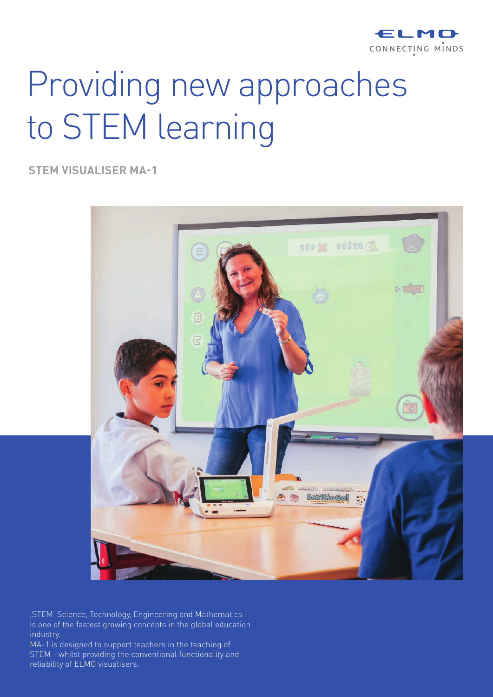

# Providing new approaches to STEM learning

**STEM VISUALISER MA-1**



'STEM' Science, Technology, Engineering and Mathematics is one of the fastest growing concepts in the global education industry.

MA-1 is designed to support teachers in the teaching of STEM - whilst providing the conventional functionality and reliability of ELMO visualisers.